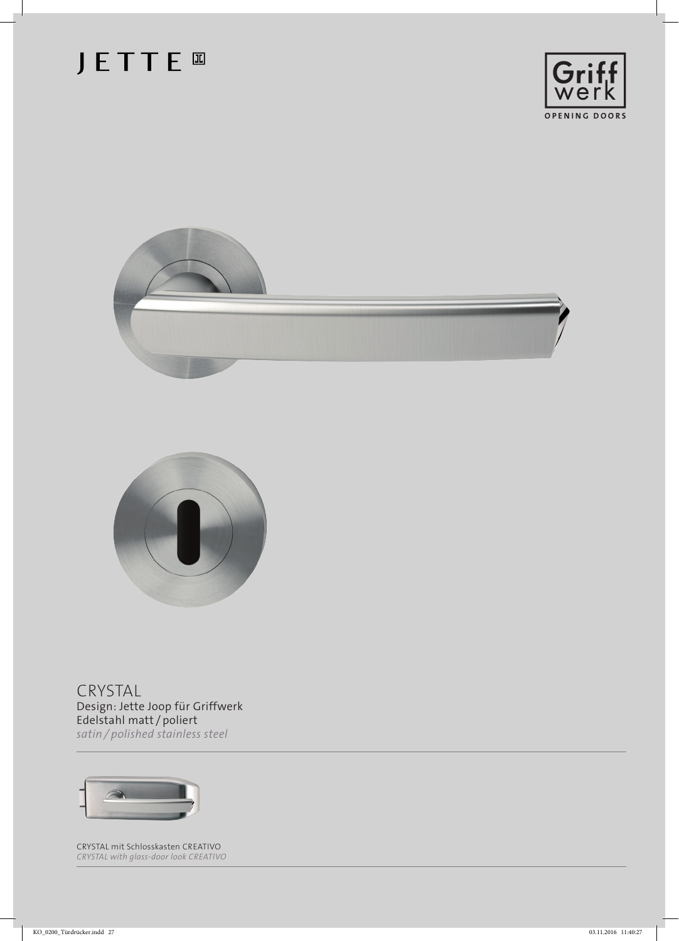## **JETTE**







CRYSTAL Design: Jette Joop für Griffwerk Edelstahl matt / poliert *satin / polished stainless steel*



CRYSTAL mit Schlosskasten CREATIVO *CRYSTAL with glass-door look CREATIVO*